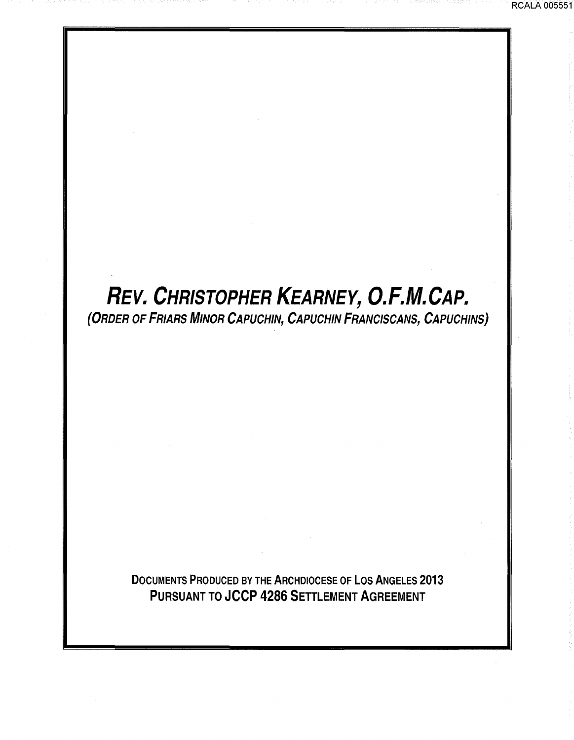# **REV.** *CHRISTOPHER KEARNEY, O.F.M.CAP.*

RCALA 005551

(ORDER OF FRIARS MINOR CAPUCHIN, CAPUCHIN FRANCISCANS, CAPUCHINS)

DOCUMENTS PRODUCED BY THE ARCHDIOCESE OF LOS ANGELES 2013 PURSUANT TO JCCP 4286 SETTLEMENT AGREEMENT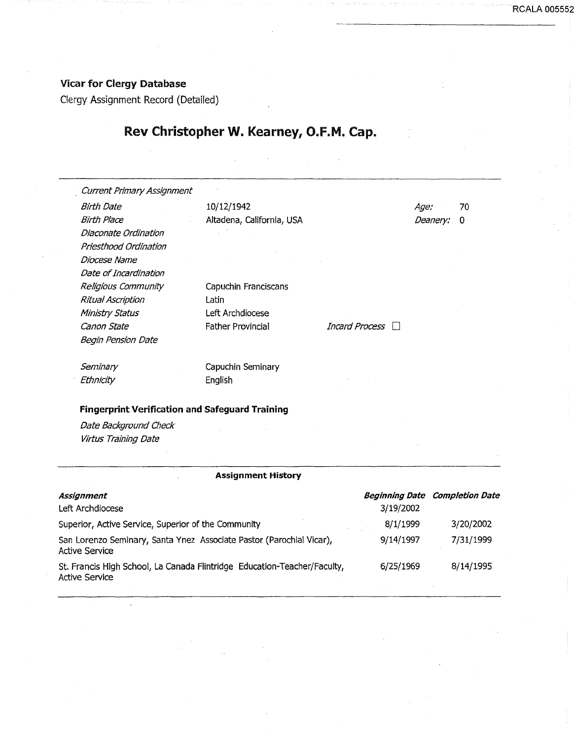### Vicar for Clergy Database

Clergy Assignment Record (Detailed)

 $\bar{\mathcal{L}}$ 

## Rev Christopher W. Kearney, O.F.M. Cap.

RCALA 005552

| <b>Current Primary Assignment</b>                      |                           |                |          |    |
|--------------------------------------------------------|---------------------------|----------------|----------|----|
| <b>Birth Date</b>                                      | 10/12/1942                |                | Age:     | 70 |
| <b>Birth Place</b>                                     | Altadena, California, USA |                | Deanery: | 0  |
| Diaconate Ordination                                   |                           |                |          |    |
| Priesthood Ordination                                  |                           |                |          |    |
| Diocese Name                                           |                           |                |          |    |
| Date of Incardination                                  |                           |                |          |    |
| Religious Community                                    | Capuchin Franciscans      |                |          |    |
| Ritual Ascription                                      | Latin                     |                |          |    |
| <b>Ministry Status</b>                                 | Left Archdiocese          |                |          |    |
| Canon State                                            | <b>Father Provincial</b>  | Incard Process |          |    |
| <b>Begin Pension Date</b>                              |                           |                |          |    |
| Seminary                                               | Capuchin Seminary         |                |          |    |
| Ethnicity                                              | English                   |                |          |    |
| <b>Fingerprint Verification and Safeguard Training</b> |                           |                |          |    |

#### **Assignment History**

| Assignment<br>Left Archdiocese                                                                    | 3/19/2002 | <b>Beginning Date Completion Date</b> |
|---------------------------------------------------------------------------------------------------|-----------|---------------------------------------|
| Superior, Active Service, Superior of the Community                                               | 8/1/1999  | 3/20/2002                             |
| San Lorenzo Seminary, Santa Ynez Associate Pastor (Parochial Vicar),<br>Active Service            | 9/14/1997 | 7/31/1999                             |
| St. Francis High School, La Canada Flintridge Education-Teacher/Faculty,<br><b>Active Service</b> | 6/25/1969 | 8/14/1995                             |